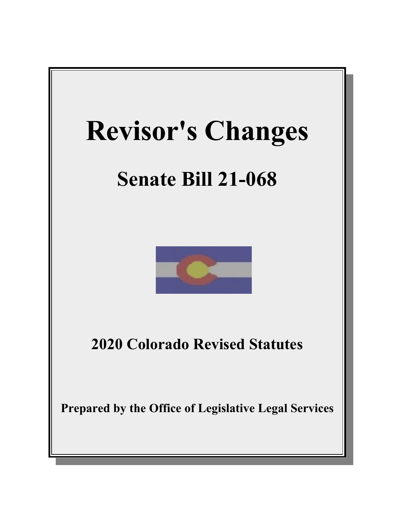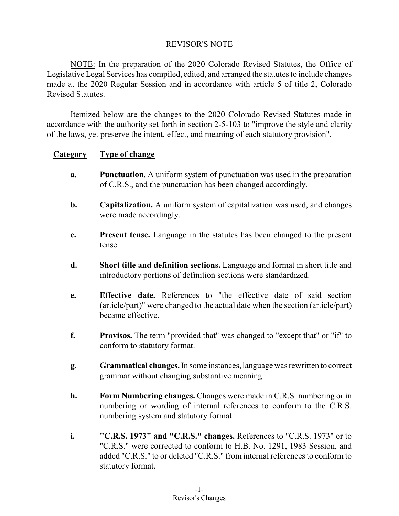## REVISOR'S NOTE

NOTE: In the preparation of the 2020 Colorado Revised Statutes, the Office of Legislative Legal Services has compiled, edited, and arranged the statutes to include changes made at the 2020 Regular Session and in accordance with article 5 of title 2, Colorado Revised Statutes.

Itemized below are the changes to the 2020 Colorado Revised Statutes made in accordance with the authority set forth in section 2-5-103 to "improve the style and clarity of the laws, yet preserve the intent, effect, and meaning of each statutory provision".

## **Category Type of change**

- **a. Punctuation.** A uniform system of punctuation was used in the preparation of C.R.S., and the punctuation has been changed accordingly.
- **b. Capitalization.** A uniform system of capitalization was used, and changes were made accordingly.
- **c. Present tense.** Language in the statutes has been changed to the present tense.
- **d. Short title and definition sections.** Language and format in short title and introductory portions of definition sections were standardized.
- **e. Effective date.** References to "the effective date of said section (article/part)" were changed to the actual date when the section (article/part) became effective.
- **f. Provisos.** The term "provided that" was changed to "except that" or "if" to conform to statutory format.
- **g. Grammatical changes.**In some instances, language was rewritten to correct grammar without changing substantive meaning.
- **h. Form Numbering changes.** Changes were made in C.R.S. numbering or in numbering or wording of internal references to conform to the C.R.S. numbering system and statutory format.
- **i. "C.R.S. 1973" and "C.R.S." changes.** References to "C.R.S. 1973" or to "C.R.S." were corrected to conform to H.B. No. 1291, 1983 Session, and added "C.R.S." to or deleted "C.R.S." from internal references to conform to statutory format.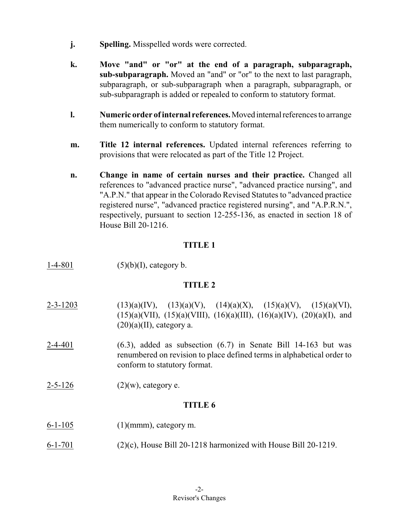- **j. Spelling.** Misspelled words were corrected.
- **k. Move "and" or "or" at the end of a paragraph, subparagraph, sub-subparagraph.** Moved an "and" or "or" to the next to last paragraph, subparagraph, or sub-subparagraph when a paragraph, subparagraph, or sub-subparagraph is added or repealed to conform to statutory format.
- **l. Numeric order of internal references.**Moved internalreferences to arrange them numerically to conform to statutory format.
- **m. Title 12 internal references.** Updated internal references referring to provisions that were relocated as part of the Title 12 Project.
- **n. Change in name of certain nurses and their practice.** Changed all references to "advanced practice nurse", "advanced practice nursing", and "A.P.N." that appear in the Colorado Revised Statutes to "advanced practice registered nurse", "advanced practice registered nursing", and "A.P.R.N.", respectively, pursuant to section 12-255-136, as enacted in section 18 of House Bill 20-1216.

| $1 - 4 - 801$  | $(5)(b)(I)$ , category b.                                                                                                                                                                |
|----------------|------------------------------------------------------------------------------------------------------------------------------------------------------------------------------------------|
|                | <b>TITLE 2</b>                                                                                                                                                                           |
| $2 - 3 - 1203$ | $(13)(a)(IV), (13)(a)(V), (14)(a)(X), (15)(a)(V), (15)(a)(VI),$<br>$(15)(a)(VII)$ , $(15)(a)(VIII)$ , $(16)(a)(III)$ , $(16)(a)(IV)$ , $(20)(a)(I)$ , and<br>$(20)(a)(II)$ , category a. |
| $2 - 4 - 401$  | $(6.3)$ , added as subsection $(6.7)$ in Senate Bill 14-163 but was<br>renumbered on revision to place defined terms in alphabetical order to<br>conform to statutory format.            |
| $2 - 5 - 126$  | $(2)(w)$ , category e.                                                                                                                                                                   |
|                | <b>TITLE 6</b>                                                                                                                                                                           |
| $6 - 1 - 105$  | $(1)(mm)$ , category m.                                                                                                                                                                  |
| $6 - 1 - 701$  | $(2)(c)$ , House Bill 20-1218 harmonized with House Bill 20-1219.                                                                                                                        |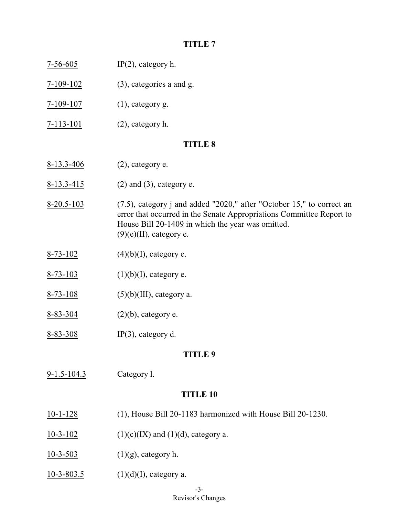- 7-56-605 IP(2), category h.
- 7-109-102 (3), categories a and g.
- 7-109-107 (1), category g.
- $7-113-101$  (2), category h.

### **TITLE 8**

- $8-13.3-406$  (2), category e.
- 8-13.3-415 (2) and (3), category e.
- 8-20.5-103  $(7.5)$ , category j and added "2020," after "October 15," to correct an error that occurred in the Senate Appropriations Committee Report to House Bill 20-1409 in which the year was omitted.  $(9)(e)(II)$ , category e.
- 8-73-102 (4)(b)(I), category e.
- 8-73-103 (1)(b)(I), category e.
- 8-73-108 (5)(b)(III), category a.
- $8-83-304$  (2)(b), category e.
- 8-83-308 IP(3), category d.

### **TITLE 9**

9-1.5-104.3 Category l.

- 10-1-128 (1), House Bill 20-1183 harmonized with House Bill 20-1230.
- 10-3-102 (1)(c)(IX) and (1)(d), category a.
- $10-3-503$  (1)(g), category h.
- $10-3-803.5$  (1)(d)(I), category a.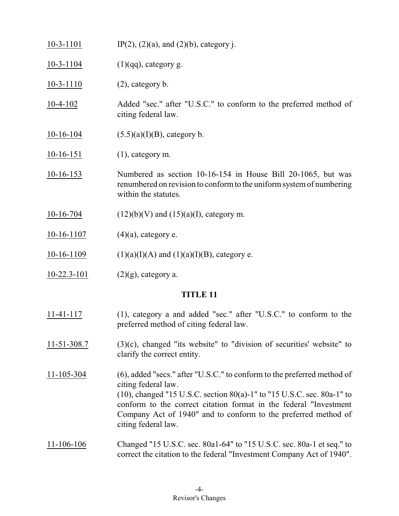| $10-3-1101$       | $IP(2)$ , $(2)(a)$ , and $(2)(b)$ , category j.                                                                                                              |
|-------------------|--------------------------------------------------------------------------------------------------------------------------------------------------------------|
| $10-3-1104$       | $(1)(qq)$ , category g.                                                                                                                                      |
| $10-3-1110$       | $(2)$ , category b.                                                                                                                                          |
| $10-4-102$        | Added "sec." after "U.S.C." to conform to the preferred method of<br>citing federal law.                                                                     |
| $10-16-104$       | $(5.5)(a)(I)(B)$ , category b.                                                                                                                               |
| $10-16-151$       | $(1)$ , category m.                                                                                                                                          |
| $10-16-153$       | Numbered as section 10-16-154 in House Bill 20-1065, but was<br>renumbered on revision to conform to the uniform system of numbering<br>within the statutes. |
| $10-16-704$       | $(12)(b)(V)$ and $(15)(a)(I)$ , category m.                                                                                                                  |
| $10-16-1107$      | $(4)(a)$ , category e.                                                                                                                                       |
| $10-16-1109$      | $(1)(a)(I)(A)$ and $(1)(a)(I)(B)$ , category e.                                                                                                              |
| $10-22.3-101$     | $(2)(g)$ , category a.                                                                                                                                       |
|                   | <b>TITLE 11</b>                                                                                                                                              |
| $11-41-117$       | (1), category a and added "sec." after "U.S.C." to conform to the<br>preferred method of citing federal law.                                                 |
| $11 - 51 - 308.7$ | $(3)(c)$ , changed "its website" to "division of securities' website" to<br>clarify the correct entity.                                                      |

11-105-304 (6), added "secs." after "U.S.C." to conform to the preferred method of citing federal law. (10), changed "15 U.S.C. section 80(a)-1" to "15 U.S.C. sec. 80a-1" to conform to the correct citation format in the federal "Investment Company Act of 1940" and to conform to the preferred method of citing federal law.

## 11-106-106 Changed "15 U.S.C. sec. 80a1-64" to "15 U.S.C. sec. 80a-1 et seq." to correct the citation to the federal "Investment Company Act of 1940".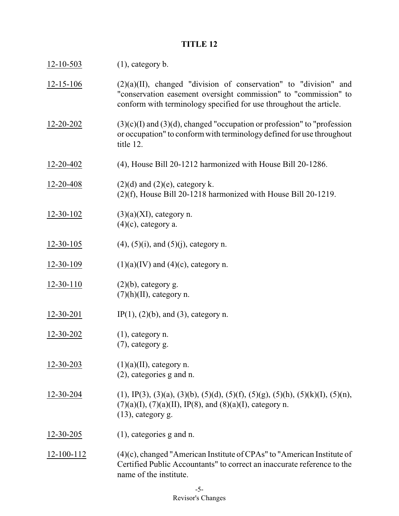| $12 - 10 - 503$  | $(1)$ , category b.                                                                                                                                                                                          |
|------------------|--------------------------------------------------------------------------------------------------------------------------------------------------------------------------------------------------------------|
| $12 - 15 - 106$  | $(2)(a)(II)$ , changed "division of conservation" to "division" and<br>"conservation easement oversight commission" to "commission" to<br>conform with terminology specified for use throughout the article. |
| 12-20-202        | $(3)(c)(I)$ and $(3)(d)$ , changed "occupation or profession" to "profession"<br>or occupation" to conform with terminology defined for use throughout<br>title 12.                                          |
| 12-20-402        | (4), House Bill 20-1212 harmonized with House Bill 20-1286.                                                                                                                                                  |
| 12-20-408        | $(2)(d)$ and $(2)(e)$ , category k.<br>$(2)(f)$ , House Bill 20-1218 harmonized with House Bill 20-1219.                                                                                                     |
| 12-30-102        | $(3)(a)(XI)$ , category n.<br>$(4)(c)$ , category a.                                                                                                                                                         |
| $12 - 30 - 105$  | $(4)$ , $(5)(i)$ , and $(5)(j)$ , category n.                                                                                                                                                                |
| $12 - 30 - 109$  | $(1)(a)(IV)$ and $(4)(c)$ , category n.                                                                                                                                                                      |
| $12 - 30 - 110$  | $(2)(b)$ , category g.<br>$(7)(h)(II)$ , category n.                                                                                                                                                         |
| $12 - 30 - 201$  | IP $(1)$ , $(2)(b)$ , and $(3)$ , category n.                                                                                                                                                                |
| $12 - 30 - 202$  | $(1)$ , category n.<br>(7), category g.                                                                                                                                                                      |
| 12-30-203        | $(1)(a)(II)$ , category n.<br>$(2)$ , categories g and n.                                                                                                                                                    |
| 12-30-204        | $(1), IP(3), (3)(a), (3)(b), (5)(d), (5)(f), (5)(g), (5)(h), (5)(k)(I), (5)(n),$<br>$(7)(a)(I), (7)(a)(II), IP(8), and (8)(a)(I), category n.$<br>$(13)$ , category g.                                       |
| 12-30-205        | $(1)$ , categories g and n.                                                                                                                                                                                  |
| $12 - 100 - 112$ | $(4)(c)$ , changed "American Institute of CPAs" to "American Institute of<br>Certified Public Accountants" to correct an inaccurate reference to the<br>name of the institute.                               |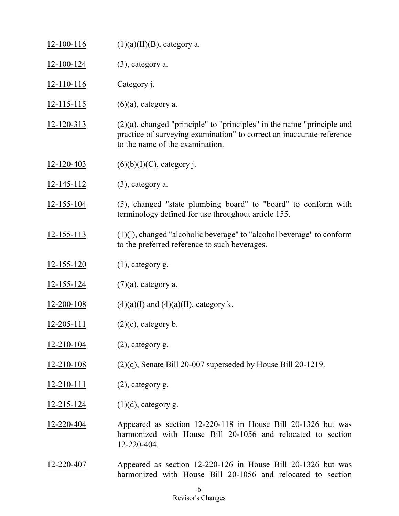12-100-116 (1)(a)(II)(B), category a. 12-100-124 (3), category a. 12-110-116 Category j. 12-115-115 (6)(a), category a. 12-120-313 (2)(a), changed "principle" to "principles" in the name "principle and practice of surveying examination" to correct an inaccurate reference to the name of the examination. 12-120-403 (6)(b)(I)(C), category j. 12-145-112 (3), category a. 12-155-104 (5), changed "state plumbing board" to "board" to conform with terminology defined for use throughout article 155. 12-155-113 (1)(l), changed "alcoholic beverage" to "alcohol beverage" to conform to the preferred reference to such beverages.  $12-155-120$  (1), category g. 12-155-124  $(7)(a)$ , category a. 12-200-108 (4)(a)(I) and (4)(a)(II), category k. 12-205-111 (2)(c), category b. 12-210-104 (2), category g. 12-210-108 (2)(q), Senate Bill 20-007 superseded by House Bill 20-1219. 12-210-111 (2), category g. 12-215-124  $(1)(d)$ , category g. 12-220-404 Appeared as section 12-220-118 in House Bill 20-1326 but was harmonized with House Bill 20-1056 and relocated to section 12-220-404. 12-220-407 Appeared as section 12-220-126 in House Bill 20-1326 but was harmonized with House Bill 20-1056 and relocated to section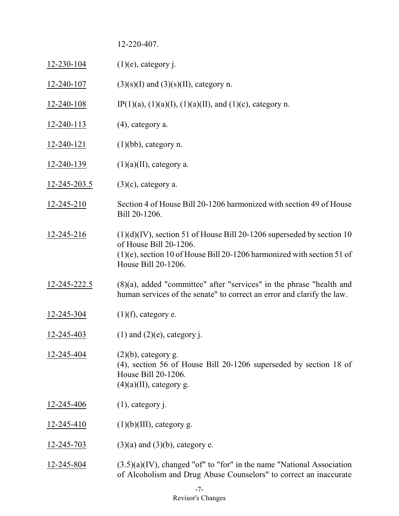12-220-407.

| $12 - 230 - 104$  | $(1)(e)$ , category j.                                                                                                                                                                                 |
|-------------------|--------------------------------------------------------------------------------------------------------------------------------------------------------------------------------------------------------|
| $12 - 240 - 107$  | $(3)(s)(I)$ and $(3)(s)(II)$ , category n.                                                                                                                                                             |
| $12 - 240 - 108$  | IP(1)(a), (1)(a)(I), (1)(a)(II), and (1)(c), category n.                                                                                                                                               |
| $12 - 240 - 113$  | $(4)$ , category a.                                                                                                                                                                                    |
| $12 - 240 - 121$  | $(1)(bb)$ , category n.                                                                                                                                                                                |
| $12 - 240 - 139$  | $(1)(a)(II)$ , category a.                                                                                                                                                                             |
| 12-245-203.5      | $(3)(c)$ , category a.                                                                                                                                                                                 |
| 12-245-210        | Section 4 of House Bill 20-1206 harmonized with section 49 of House<br>Bill 20-1206.                                                                                                                   |
| 12-245-216        | $(1)(d)(IV)$ , section 51 of House Bill 20-1206 superseded by section 10<br>of House Bill 20-1206.<br>$(1)(e)$ , section 10 of House Bill 20-1206 harmonized with section 51 of<br>House Bill 20-1206. |
| 12-245-222.5      | $(8)(a)$ , added "committee" after "services" in the phrase "health and<br>human services of the senate" to correct an error and clarify the law.                                                      |
| $12 - 245 - 304$  | $(1)(f)$ , category e.                                                                                                                                                                                 |
| <u>12-245-403</u> | $(1)$ and $(2)(e)$ , category j.                                                                                                                                                                       |
| 12-245-404        | $(2)(b)$ , category g.<br>(4), section 56 of House Bill 20-1206 superseded by section 18 of<br>House Bill 20-1206.<br>$(4)(a)$ (II), category g.                                                       |
| <u>12-245-406</u> | $(1)$ , category j.                                                                                                                                                                                    |
| 12-245-410        | $(1)(b)(III)$ , category g.                                                                                                                                                                            |
| 12-245-703        | $(3)(a)$ and $(3)(b)$ , category e.                                                                                                                                                                    |
| 12-245-804        | $(3.5)(a)(IV)$ , changed "of" to "for" in the name "National Association<br>of Alcoholism and Drug Abuse Counselors" to correct an inaccurate                                                          |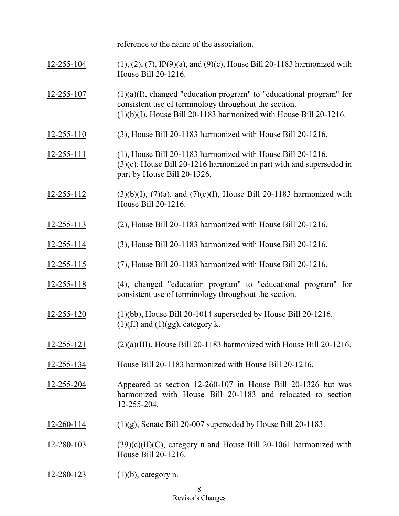reference to the name of the association.

- 12-255-104 (1), (2), (7), IP(9)(a), and (9)(c), House Bill 20-1183 harmonized with House Bill 20-1216.
- $12-255-107$  (1)(a)(I), changed "education program" to "educational program" for consistent use of terminology throughout the section. (1)(b)(I), House Bill 20-1183 harmonized with House Bill 20-1216.
- 12-255-110 (3), House Bill 20-1183 harmonized with House Bill 20-1216.
- 12-255-111 (1), House Bill 20-1183 harmonized with House Bill 20-1216. (3)(c), House Bill 20-1216 harmonized in part with and superseded in part by House Bill 20-1326.
- 12-255-112 (3)(b)(I), (7)(a), and (7)(c)(I), House Bill 20-1183 harmonized with House Bill 20-1216.
- 12-255-113 (2), House Bill 20-1183 harmonized with House Bill 20-1216.
- 12-255-114 (3), House Bill 20-1183 harmonized with House Bill 20-1216.
- 12-255-115 (7), House Bill 20-1183 harmonized with House Bill 20-1216.
- 12-255-118 (4), changed "education program" to "educational program" for consistent use of terminology throughout the section.
- 12-255-120 (1)(bb), House Bill 20-1014 superseded by House Bill 20-1216.  $(1)(ff)$  and  $(1)(gg)$ , category k.
- 12-255-121 (2)(a)(III), House Bill 20-1183 harmonized with House Bill 20-1216.
- 12-255-134 House Bill 20-1183 harmonized with House Bill 20-1216.
- 12-255-204 Appeared as section 12-260-107 in House Bill 20-1326 but was harmonized with House Bill 20-1183 and relocated to section 12-255-204.
- 12-260-114 (1)(g), Senate Bill 20-007 superseded by House Bill 20-1183.
- 12-280-103 (39)(c)(II)(C), category n and House Bill 20-1061 harmonized with House Bill 20-1216.
- 12-280-123 (1)(b), category n.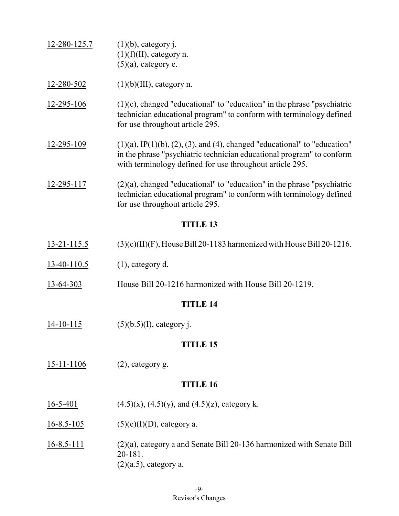| 12-280-125.7 | $(1)(b)$ , category j.     |
|--------------|----------------------------|
|              | $(1)(f)(II)$ , category n. |
|              | $(5)(a)$ , category e.     |

- 12-280-502 (1)(b)(III), category n.
- 12-295-106 (1)(c), changed "educational" to "education" in the phrase "psychiatric technician educational program" to conform with terminology defined for use throughout article 295.
- 12-295-109 (1)(a), IP(1)(b), (2), (3), and (4), changed "educational" to "education" in the phrase "psychiatric technician educational program" to conform with terminology defined for use throughout article 295.
- 12-295-117 (2)(a), changed "educational" to "education" in the phrase "psychiatric technician educational program" to conform with terminology defined for use throughout article 295.

- 13-21-115.5 (3)(c)(II)(F), House Bill 20-1183 harmonized with House Bill 20-1216.
- 13-40-110.5 (1), category d.
- 13-64-303 House Bill 20-1216 harmonized with House Bill 20-1219.

#### **TITLE 14**

 $14-10-115$  (5)(b.5)(I), category j.

### **TITLE 15**

 $15-11-1106$  (2), category g.

- 16-5-401 (4.5)(x), (4.5)(y), and (4.5)(z), category k.
- $16-8.5-105$  (5)(e)(I)(D), category a.
- 16-8.5-111 (2)(a), category a and Senate Bill 20-136 harmonized with Senate Bill 20-181.  $(2)(a.5)$ , category a.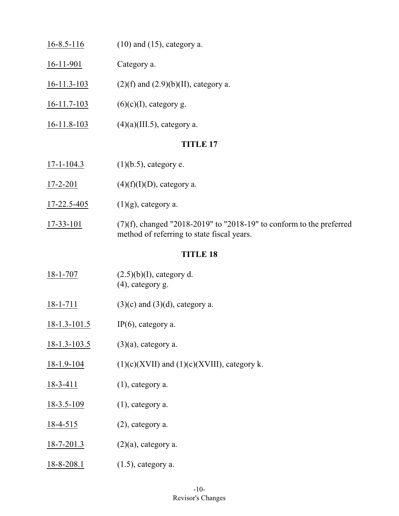# 16-8.5-116 (10) and (15), category a.

16-11-901 Category a.

 $16-11.3-103$  (2)(f) and (2.9)(b)(II), category a.

 $16-11.7-103$  (6)(c)(I), category g.

 $16-11.8-103$  (4)(a)(III.5), category a.

## **TITLE 17**

- 17-1-104.3 (1)(b.5), category e.
- $17-2-201$  (4)(f)(I)(D), category a.
- $17-22.5-405$  (1)(g), category a.
- 17-33-101 (7)(f), changed "2018-2019" to "2018-19" to conform to the preferred method of referring to state fiscal years.

- 18-1-707 (2.5)(b)(I), category d. (4), category g.
- 18-1-711 (3)(c) and (3)(d), category a.
- 18-1.3-101.5 IP(6), category a.
- 18-1.3-103.5 (3)(a), category a.
- 18-1.9-104 (1)(c)(XVII) and (1)(c)(XVIII), category k.
- 18-3-411 (1), category a.
- $18-3.5-109$  (1), category a.
- 18-4-515 (2), category a.
- 18-7-201.3 (2)(a), category a.
- 18-8-208.1 (1.5), category a.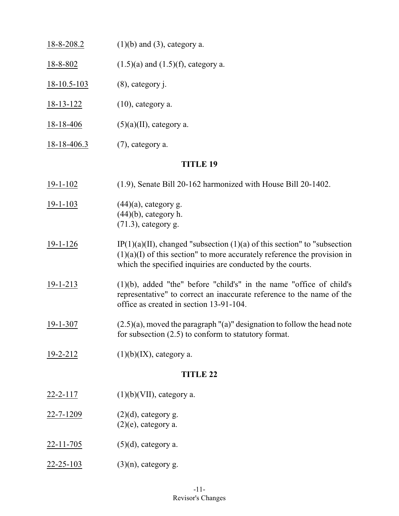| $18 - 8 - 208.2$  | $(1)(b)$ and $(3)$ , category a.                                                                                                                                                                                      |
|-------------------|-----------------------------------------------------------------------------------------------------------------------------------------------------------------------------------------------------------------------|
| $18 - 8 - 802$    | $(1.5)(a)$ and $(1.5)(f)$ , category a.                                                                                                                                                                               |
| $18 - 10.5 - 103$ | $(8)$ , category j.                                                                                                                                                                                                   |
| 18-13-122         | $(10)$ , category a.                                                                                                                                                                                                  |
| $18 - 18 - 406$   | $(5)(a)(II)$ , category a.                                                                                                                                                                                            |
| $18 - 18 - 406.3$ | (7), category a.                                                                                                                                                                                                      |
|                   | <b>TITLE 19</b>                                                                                                                                                                                                       |
| $19 - 1 - 102$    | $(1.9)$ , Senate Bill 20-162 harmonized with House Bill 20-1402.                                                                                                                                                      |
| $19 - 1 - 103$    | $(44)(a)$ , category g.<br>$(44)(b)$ , category h.<br>$(71.3)$ , category g.                                                                                                                                          |
| $19 - 1 - 126$    | IP(1)(a)(II), changed "subsection (1)(a) of this section" to "subsection"<br>$(1)(a)(I)$ of this section" to more accurately reference the provision in<br>which the specified inquiries are conducted by the courts. |
| $19 - 1 - 213$    | $(1)(b)$ , added "the" before "child's" in the name "office of child's"<br>representative" to correct an inaccurate reference to the name of the<br>office as created in section 13-91-104.                           |
| $19 - 1 - 307$    | $(2.5)(a)$ , moved the paragraph " $(a)$ " designation to follow the head note<br>for subsection $(2.5)$ to conform to statutory format.                                                                              |
| 19-2-212          | $(1)(b)(IX)$ , category a.                                                                                                                                                                                            |
|                   | <b>TITLE 22</b>                                                                                                                                                                                                       |
| <u>22-2-117</u>   | $(1)(b)(VII)$ , category a.                                                                                                                                                                                           |
| 22-7-1209         | $(2)(d)$ , category g.<br>$(2)(e)$ , category a.                                                                                                                                                                      |
| $22 - 11 - 705$   | $(5)(d)$ , category a.                                                                                                                                                                                                |
| $22 - 25 - 103$   | $(3)(n)$ , category g.                                                                                                                                                                                                |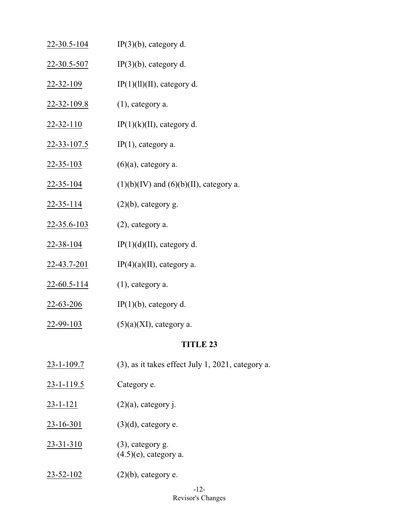| $22 - 30.5 - 104$  | $IP(3)(b)$ , category d.                          |
|--------------------|---------------------------------------------------|
| 22-30.5-507        | $IP(3)(b)$ , category d.                          |
| 22-32-109          | IP $(1)(11)(11)$ , category d.                    |
| 22-32-109.8        | $(1)$ , category a.                               |
| <u>22-32-110</u>   | $IP(1)(k)(II)$ , category d.                      |
| $22 - 33 - 107.5$  | $IP(1)$ , category a.                             |
| $22 - 35 - 103$    | $(6)(a)$ , category a.                            |
| $22 - 35 - 104$    | $(1)(b)(IV)$ and $(6)(b)(II)$ , category a.       |
| $22 - 35 - 114$    | $(2)(b)$ , category g.                            |
| <u>22-35.6-103</u> | (2), category a.                                  |
| $22 - 38 - 104$    | IP $(1)(d)(II)$ , category d.                     |
| 22-43.7-201        | IP(4)(a)(II), category a.                         |
| $22 - 60.5 - 114$  | $(1)$ , category a.                               |
| <u>22-63-206</u>   | $IP(1)(b)$ , category d.                          |
| 22-99-103          | $(5)(a)(XI)$ , category a.                        |
|                    | <b>TITLE 23</b>                                   |
| $23 - 1 - 109.7$   | (3), as it takes effect July 1, 2021, category a. |
| $23 - 1 - 119.5$   | Category e.                                       |
| 23-1-121           | $(2)(a)$ , category j.                            |
| <u>23-16-301</u>   | $(3)(d)$ , category e.                            |

- 23-31-310 (3), category g.  $(4.5)(e)$ , category a.
- $23-52-102$  (2)(b), category e.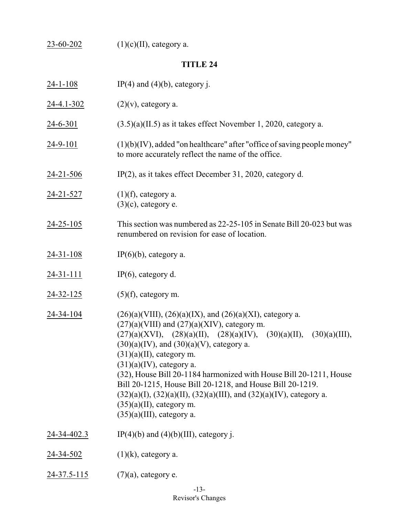23-60-202  $(1)(c)(II)$ , category a. **TITLE 24** 24-1-108 IP(4) and (4)(b), category j. 24-4.1-302 (2)(v), category a. 24-6-301  $(3.5)(a)(II.5)$  as it takes effect November 1, 2020, category a.  $24-9-101$  (1)(b)(IV), added "on healthcare" after "office of saving people money" to more accurately reflect the name of the office. 24-21-506 IP(2), as it takes effect December 31, 2020, category d. 24-21-527 (1)(f), category a.  $(3)(c)$ , category e. 24-25-105 This section was numbered as 22-25-105 in Senate Bill 20-023 but was renumbered on revision for ease of location. 24-31-108 IP(6)(b), category a. 24-31-111 IP(6), category d. 24-32-125 (5)(f), category m. 24-34-104 (26)(a)(VIII), (26)(a)(IX), and (26)(a)(XI), category a.  $(27)(a)$ (VIII) and  $(27)(a)$ (XIV), category m.  $(27)(a)(XVI), (28)(a)(II), (28)(a)(IV), (30)(a)(II), (30)(a)(III),$  $(30)(a)(IV)$ , and  $(30)(a)(V)$ , category a.  $(31)(a)(II)$ , category m.  $(31)(a)(IV)$ , category a. (32), House Bill 20-1184 harmonized with House Bill 20-1211, House Bill 20-1215, House Bill 20-1218, and House Bill 20-1219.  $(32)(a)(I), (32)(a)(II), (32)(a)(III), and (32)(a)(IV), category a.$  $(35)(a)(II)$ , category m.  $(35)(a)(III)$ , category a.  $24-34-402.3$  IP(4)(b) and (4)(b)(III), category j.  $24-34-502$  (1)(k), category a. 24-37.5-115 (7)(a), category e.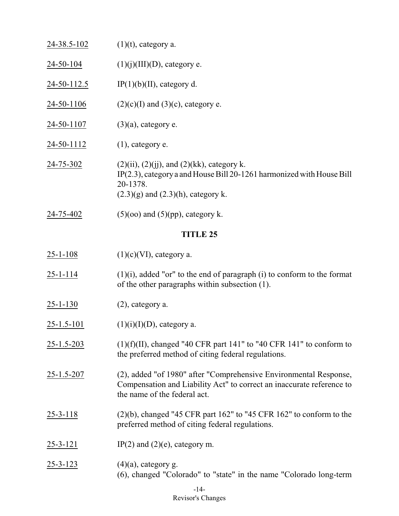| $24 - 38.5 - 102$ | $(1)(t)$ , category a.                                                                                                                                                              |
|-------------------|-------------------------------------------------------------------------------------------------------------------------------------------------------------------------------------|
| 24-50-104         | $(1)(j)(III)(D)$ , category e.                                                                                                                                                      |
| 24-50-112.5       | $IP(1)(b)(II)$ , category d.                                                                                                                                                        |
| $24 - 50 - 1106$  | $(2)(c)(I)$ and $(3)(c)$ , category e.                                                                                                                                              |
| 24-50-1107        | $(3)(a)$ , category e.                                                                                                                                                              |
| $24 - 50 - 1112$  | $(1)$ , category e.                                                                                                                                                                 |
| 24-75-302         | $(2)(ii)$ , $(2)(jj)$ , and $(2)(kk)$ , category k.<br>IP(2.3), category a and House Bill 20-1261 harmonized with House Bill<br>20-1378.<br>$(2.3)(g)$ and $(2.3)(h)$ , category k. |
| 24-75-402         | $(5)(oo)$ and $(5)(pp)$ , category k.                                                                                                                                               |
|                   | <b>TITLE 25</b>                                                                                                                                                                     |
| $25 - 1 - 108$    | $(1)(c)(VI)$ , category a.                                                                                                                                                          |
| $25 - 1 - 114$    | $(1)(i)$ , added "or" to the end of paragraph $(i)$ to conform to the format<br>of the other paragraphs within subsection (1).                                                      |
| $25 - 1 - 130$    | $(2)$ , category a.                                                                                                                                                                 |
| $25 - 1.5 - 101$  | $(1)(i)(I)(D)$ , category a.                                                                                                                                                        |
| $25 - 1.5 - 203$  | $(1)(f)(II)$ , changed "40 CFR part 141" to "40 CFR 141" to conform to<br>the preferred method of citing federal regulations.                                                       |
| $25 - 1.5 - 207$  | (2), added "of 1980" after "Comprehensive Environmental Response,<br>Compensation and Liability Act" to correct an inaccurate reference to<br>the name of the federal act.          |
| $25 - 3 - 118$    | $(2)(b)$ , changed "45 CFR part 162" to "45 CFR 162" to conform to the<br>preferred method of citing federal regulations.                                                           |
| $25 - 3 - 121$    | IP(2) and (2)(e), category m.                                                                                                                                                       |
| $25 - 3 - 123$    | $(4)(a)$ , category g.<br>(6), changed "Colorado" to "state" in the name "Colorado long-term                                                                                        |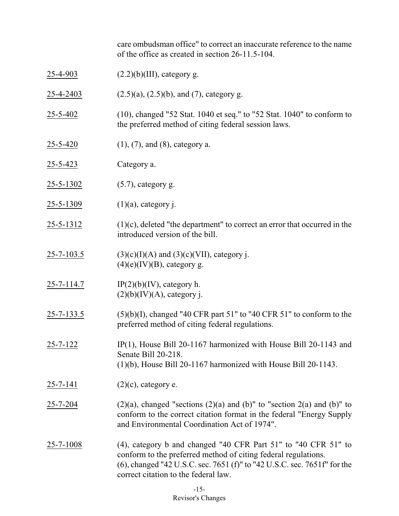care ombudsman office" to correct an inaccurate reference to the name of the office as created in section 26-11.5-104.

- 25-4-903 (2.2)(b)(III), category g.
- 25-4-2403 (2.5)(a),  $(2.5)(b)$ , and  $(7)$ , category g.
- 25-5-402 (10), changed "52 Stat. 1040 et seq." to "52 Stat. 1040" to conform to the preferred method of citing federal session laws.
- 25-5-420 (1), (7), and (8), category a.
- 25-5-423 Category a.
- 25-5-1302 (5.7), category g.
- 25-5-1309 (1)(a), category j.
- $25-5-1312$  (1)(c), deleted "the department" to correct an error that occurred in the introduced version of the bill.
- 25-7-103.5 (3)(c)(I)(A) and (3)(c)(VII), category j.  $(4)(e)(IV)(B)$ , category g.
- 25-7-114.7 IP(2)(b)(IV), category h.  $(2)(b)(IV)(A)$ , category j.
- 25-7-133.5 (5)(b)(I), changed "40 CFR part 51" to "40 CFR 51" to conform to the preferred method of citing federal regulations.
- 25-7-122 IP(1), House Bill 20-1167 harmonized with House Bill 20-1143 and Senate Bill 20-218. (1)(b), House Bill 20-1167 harmonized with House Bill 20-1143.
- 25-7-141 (2)(c), category e.
- 25-7-204 (2)(a), changed "sections  $(2)(a)$  and  $(b)$ " to "section 2(a) and  $(b)$ " to conform to the correct citation format in the federal "Energy Supply and Environmental Coordination Act of 1974".
- 25-7-1008 (4), category b and changed "40 CFR Part 51" to "40 CFR 51" to conform to the preferred method of citing federal regulations. (6), changed "42 U.S.C. sec. 7651 (f)" to "42 U.S.C. sec. 7651f" for the correct citation to the federal law.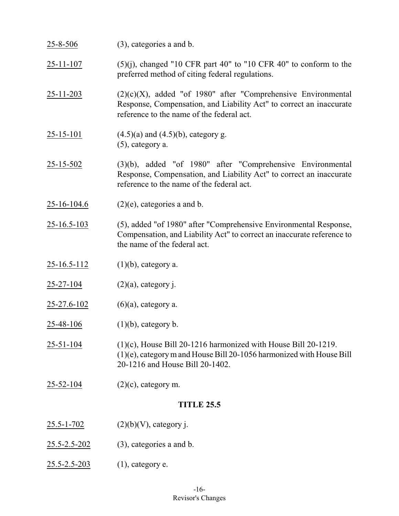25-8-506 (3), categories a and b.

25-11-107 (5)(j), changed "10 CFR part 40" to "10 CFR 40" to conform to the preferred method of citing federal regulations.

 $25-11-203$  (2)(c)(X), added "of 1980" after "Comprehensive Environmental Response, Compensation, and Liability Act" to correct an inaccurate reference to the name of the federal act.

- 25-15-101 (4.5)(a) and  $(4.5)(b)$ , category g. (5), category a.
- 25-15-502 (3)(b), added "of 1980" after "Comprehensive Environmental Response, Compensation, and Liability Act" to correct an inaccurate reference to the name of the federal act.
- 25-16-104.6 (2)(e), categories a and b.
- 25-16.5-103 (5), added "of 1980" after "Comprehensive Environmental Response, Compensation, and Liability Act" to correct an inaccurate reference to the name of the federal act.
- $25-16.5-112$  (1)(b), category a.
- 25-27-104 (2)(a), category j.
- 25-27.6-102  $(6)(a)$ , category a.
- $25-48-106$  (1)(b), category b.
- 25-51-104 (1)(c), House Bill 20-1216 harmonized with House Bill 20-1219. (1)(e), categorym and House Bill 20-1056 harmonized with House Bill 20-1216 and House Bill 20-1402.
- $25-52-104$  (2)(c), category m.

### **TITLE 25.5**

- 25.5-1-702 (2)(b)(V), category j.
- 25.5-2.5-202 (3), categories a and b.
- 25.5-2.5-203 (1), category e.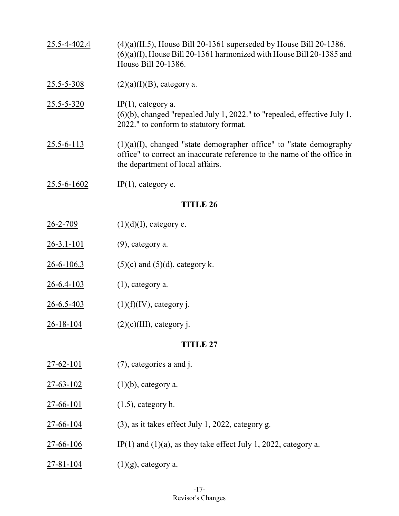- 25.5-4-402.4 (4)(a)(II.5), House Bill 20-1361 superseded by House Bill 20-1386.  $(6)(a)(I)$ , House Bill 20-1361 harmonized with House Bill 20-1385 and House Bill 20-1386.
- $25.5 5 308$  (2)(a)(I)(B), category a.
- 25.5-5-320 IP(1), category a. (6)(b), changed "repealed July 1, 2022." to "repealed, effective July 1, 2022." to conform to statutory format.
- $25.5-6-113$  (1)(a)(I), changed "state demographer office" to "state demography office" to correct an inaccurate reference to the name of the office in the department of local affairs.
- 25.5-6-1602 IP(1), category e.

- $26-2-709$  (1)(d)(I), category e.
- 26-3.1-101 (9), category a.
- 26-6-106.3 (5)(c) and (5)(d), category k.
- 26-6.4-103 (1), category a.
- 26-6.5-403  $(1)(f)(IV)$ , category j.
- $26-18-104$  (2)(c)(III), category j.

- 27-62-101 (7), categories a and j.
- 27-63-102 (1)(b), category a.
- $27-66-101$  (1.5), category h.
- 27-66-104 (3), as it takes effect July 1, 2022, category g.
- 27-66-106 IP(1) and (1)(a), as they take effect July 1, 2022, category a.
- $27-81-104$  (1)(g), category a.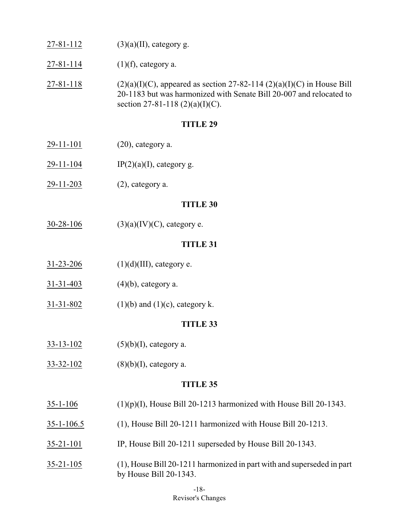- 27-81-112  $(3)(a)(II)$ , category g.
- 27-81-114  $(1)(f)$ , category a.
- 27-81-118 (2)(a)(I)(C), appeared as section 27-82-114 (2)(a)(I)(C) in House Bill 20-1183 but was harmonized with Senate Bill 20-007 and relocated to section 27-81-118  $(2)(a)(I)(C)$ .

- $29-11-101$  (20), category a.
- 29-11-104 IP(2)(a)(I), category g.
- 29-11-203 (2), category a.

### **TITLE 30**

 $30-28-106$  (3)(a)(IV)(C), category e.

### **TITLE 31**

- 31-23-206 (1)(d)(III), category e.
- 31-31-403 (4)(b), category a.
- 31-31-802 (1)(b) and (1)(c), category k.

### **TITLE 33**

- $33-13-102$  (5)(b)(I), category a.
- $33-32-102$  (8)(b)(I), category a.

- $35-1-106$  (1)(p)(I), House Bill 20-1213 harmonized with House Bill 20-1343.
- 35-1-106.5 (1), House Bill 20-1211 harmonized with House Bill 20-1213.
- 35-21-101 IP, House Bill 20-1211 superseded by House Bill 20-1343.
- 35-21-105 (1), House Bill 20-1211 harmonized in part with and superseded in part by House Bill 20-1343.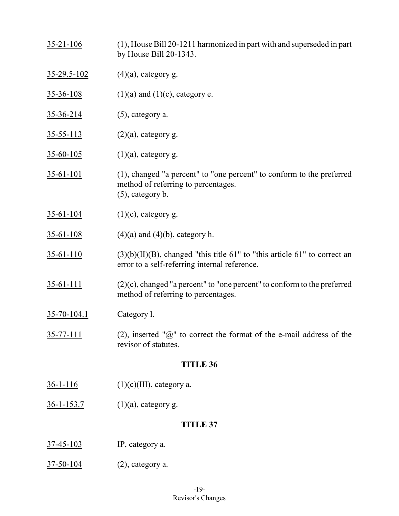35-21-106 (1), House Bill 20-1211 harmonized in part with and superseded in part by House Bill 20-1343. 35-29.5-102 (4)(a), category g. 35-36-108 (1)(a) and (1)(c), category e. 35-36-214 (5), category a.  $35-55-113$  (2)(a), category g. 35-60-105 (1)(a), category g. 35-61-101 (1), changed "a percent" to "one percent" to conform to the preferred method of referring to percentages. (5), category b.  $35-61-104$  (1)(c), category g. 35-61-108 (4)(a) and (4)(b), category h.  $35-61-110$  (3)(b)(II)(B), changed "this title 61" to "this article 61" to correct an error to a self-referring internal reference. 35-61-111 (2)(c), changed "a percent" to "one percent" to conformto the preferred method of referring to percentages. 35-70-104.1 Category l.  $35-77-111$  (2), inserted " $@$ " to correct the format of the e-mail address of the revisor of statutes. **TITLE 36** 36-1-116 (1)(c)(III), category a. 36-1-153.7 (1)(a), category g. **TITLE 37** 37-45-103 IP, category a. 37-50-104 (2), category a.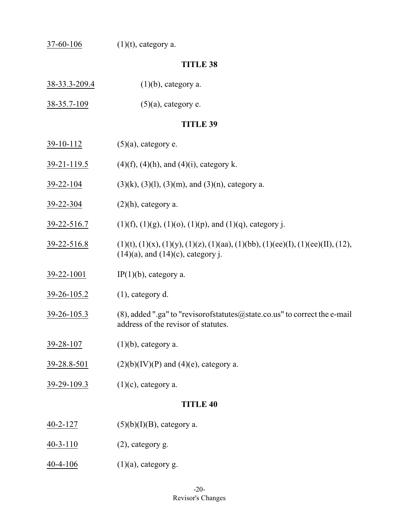$37-60-106$  (1)(t), category a.

| 38-33.3-209.4      | $(1)(b)$ , category a.                                                                                                        |
|--------------------|-------------------------------------------------------------------------------------------------------------------------------|
| 38-35.7-109        | $(5)(a)$ , category e.                                                                                                        |
|                    | <b>TITLE 39</b>                                                                                                               |
| <u>39-10-112</u>   | $(5)(a)$ , category e.                                                                                                        |
| $39 - 21 - 119.5$  | $(4)(f)$ , $(4)(h)$ , and $(4)(i)$ , category k.                                                                              |
| <u>39-22-104</u>   | $(3)(k)$ , $(3)(l)$ , $(3)(m)$ , and $(3)(n)$ , category a.                                                                   |
| <u>39-22-304</u>   | $(2)(h)$ , category a.                                                                                                        |
| 39-22-516.7        | $(1)(f), (1)(g), (1)(o), (1)(p),$ and $(1)(q)$ , category j.                                                                  |
| 39-22-516.8        | $(1)(t), (1)(x), (1)(y), (1)(z), (1)(aa), (1)(bb), (1)(ee)(I), (1)(ee)(II), (12),$<br>$(14)(a)$ , and $(14)(c)$ , category j. |
| 39-22-1001         | $IP(1)(b)$ , category a.                                                                                                      |
| $39 - 26 - 105.2$  | $(1)$ , category d.                                                                                                           |
| 39-26-105.3        | $(8)$ , added ".ga" to "revisorofstatutes@state.co.us" to correct the e-mail<br>address of the revisor of statutes.           |
| $39 - 28 - 107$    | $(1)(b)$ , category a.                                                                                                        |
| <u>39-28.8-501</u> | $(2)(b)(IV)(P)$ and $(4)(e)$ , category a.                                                                                    |
| <u>39-29-109.3</u> | $(1)(c)$ , category a.                                                                                                        |
|                    | <b>TITLE 40</b>                                                                                                               |
| $40 - 2 - 127$     | $(5)(b)(I)(B)$ , category a.                                                                                                  |
| $40 - 3 - 110$     | $(2)$ , category g.                                                                                                           |
| $40 - 4 - 106$     | $(1)(a)$ , category g.                                                                                                        |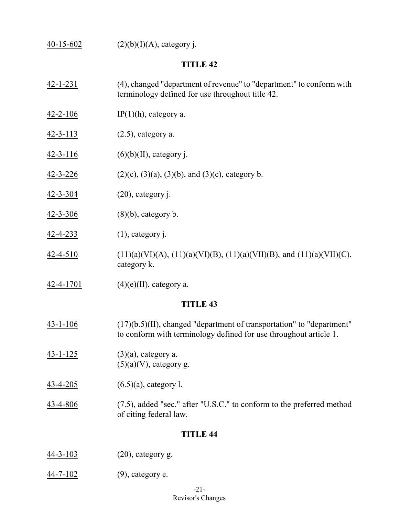$40-15-602$  (2)(b)(I)(A), category j.

# **TITLE 42**

| $42 - 1 - 231$  | (4), changed "department of revenue" to "department" to conform with<br>terminology defined for use throughout title 42.                   |
|-----------------|--------------------------------------------------------------------------------------------------------------------------------------------|
| $42 - 2 - 106$  | $IP(1)(h)$ , category a.                                                                                                                   |
| $42 - 3 - 113$  | $(2.5)$ , category a.                                                                                                                      |
| $42 - 3 - 116$  | $(6)(b)(II)$ , category j.                                                                                                                 |
| $42 - 3 - 226$  | $(2)(c)$ , $(3)(a)$ , $(3)(b)$ , and $(3)(c)$ , category b.                                                                                |
| $42 - 3 - 304$  | $(20)$ , category j.                                                                                                                       |
| $42 - 3 - 306$  | $(8)(b)$ , category b.                                                                                                                     |
| <u>42-4-233</u> | $(1)$ , category j.                                                                                                                        |
| $42 - 4 - 510$  | $(11)(a)(VI)(A), (11)(a)(VI)(B), (11)(a)(VII)(B), and (11)(a)(VII)(C),$<br>category k.                                                     |
| 42-4-1701       | $(4)(e)(II)$ , category a.                                                                                                                 |
|                 | <b>TITLE 43</b>                                                                                                                            |
| $43 - 1 - 106$  |                                                                                                                                            |
|                 | (17)(b.5)(II), changed "department of transportation" to "department"<br>to conform with terminology defined for use throughout article 1. |
| $43 - 1 - 125$  | $(3)(a)$ , category a.<br>$(5)(a)(V)$ , category g.                                                                                        |
| <u>43-4-205</u> | $(6.5)(a)$ , category l.                                                                                                                   |
| 43-4-806        | (7.5), added "sec." after "U.S.C." to conform to the preferred method<br>of citing federal law.                                            |
|                 | <b>TITLE 44</b>                                                                                                                            |

44-7-102 (9), category e.